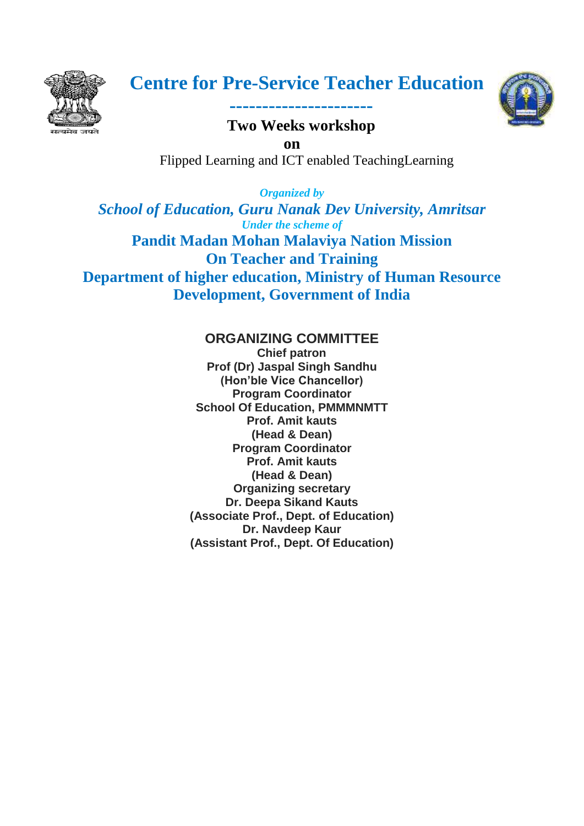



**----------------------**

**Two Weeks workshop on** Flipped Learning and ICT enabled TeachingLearning

*Organized by School of Education, Guru Nanak Dev University, Amritsar Under the scheme of* **Pandit Madan Mohan Malaviya Nation Mission On Teacher and Training Department of higher education, Ministry of Human Resource Development, Government of India**

# **ORGANIZING COMMITTEE**

 **Chief patron Prof (Dr) Jaspal Singh Sandhu (Hon'ble Vice Chancellor) Program Coordinator School Of Education, PMMMNMTT Prof. Amit kauts (Head & Dean) Program Coordinator Prof. Amit kauts (Head & Dean) Organizing secretary Dr. Deepa Sikand Kauts (Associate Prof., Dept. of Education) Dr. Navdeep Kaur (Assistant Prof., Dept. Of Education)**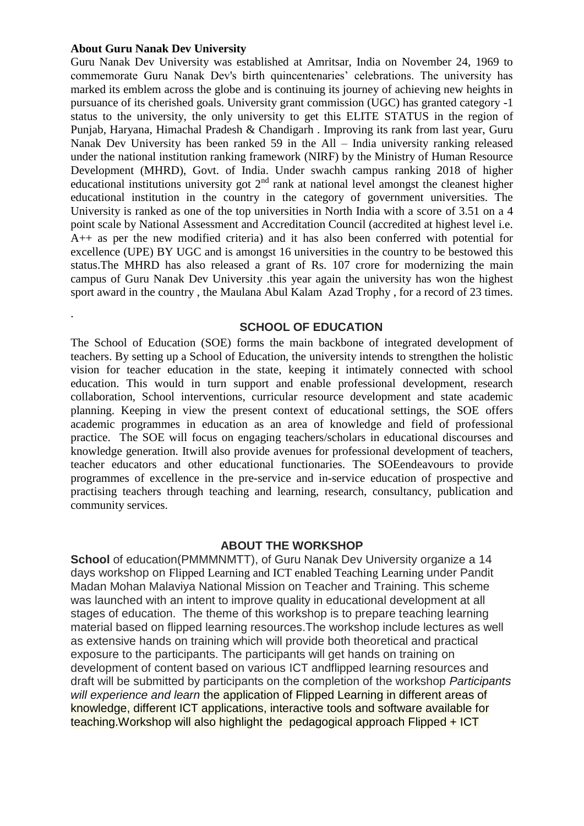#### **About Guru Nanak Dev University**

.

Guru Nanak Dev University was established at Amritsar, India on November 24, 1969 to commemorate Guru Nanak Dev's birth quincentenaries' celebrations. The university has marked its emblem across the globe and is continuing its journey of achieving new heights in pursuance of its cherished goals. University grant commission (UGC) has granted category -1 status to the university, the only university to get this ELITE STATUS in the region of Punjab, Haryana, Himachal Pradesh & Chandigarh . Improving its rank from last year, Guru Nanak Dev University has been ranked 59 in the All – India university ranking released under the national institution ranking framework (NIRF) by the Ministry of Human Resource Development (MHRD), Govt. of India. Under swachh campus ranking 2018 of higher educational institutions university got  $2<sup>nd</sup>$  rank at national level amongst the cleanest higher educational institution in the country in the category of government universities. The University is ranked as one of the top universities in North India with a score of 3.51 on a 4 point scale by National Assessment and Accreditation Council (accredited at highest level i.e. A++ as per the new modified criteria) and it has also been conferred with potential for excellence (UPE) BY UGC and is amongst 16 universities in the country to be bestowed this status.The MHRD has also released a grant of Rs. 107 crore for modernizing the main campus of Guru Nanak Dev University .this year again the university has won the highest sport award in the country , the Maulana Abul Kalam Azad Trophy , for a record of 23 times.

#### **SCHOOL OF EDUCATION**

The School of Education (SOE) forms the main backbone of integrated development of teachers. By setting up a School of Education, the university intends to strengthen the holistic vision for teacher education in the state, keeping it intimately connected with school education. This would in turn support and enable professional development, research collaboration, School interventions, curricular resource development and state academic planning. Keeping in view the present context of educational settings, the SOE offers academic programmes in education as an area of knowledge and field of professional practice. The SOE will focus on engaging teachers/scholars in educational discourses and knowledge generation. Itwill also provide avenues for professional development of teachers, teacher educators and other educational functionaries. The SOEendeavours to provide programmes of excellence in the pre-service and in-service education of prospective and practising teachers through teaching and learning, research, consultancy, publication and community services.

#### **ABOUT THE WORKSHOP**

**School** of education(PMMMNMTT), of Guru Nanak Dev University organize a 14 days workshop on Flipped Learning and ICT enabled Teaching Learning under Pandit Madan Mohan Malaviya National Mission on Teacher and Training. This scheme was launched with an intent to improve quality in educational development at all stages of education. The theme of this workshop is to prepare teaching learning material based on flipped learning resources.The workshop include lectures as well as extensive hands on training which will provide both theoretical and practical exposure to the participants. The participants will get hands on training on development of content based on various ICT andflipped learning resources and draft will be submitted by participants on the completion of the workshop *Participants will experience and learn* the application of Flipped Learning in different areas of knowledge, different ICT applications, interactive tools and software available for teaching.Workshop will also highlight the pedagogical approach Flipped + ICT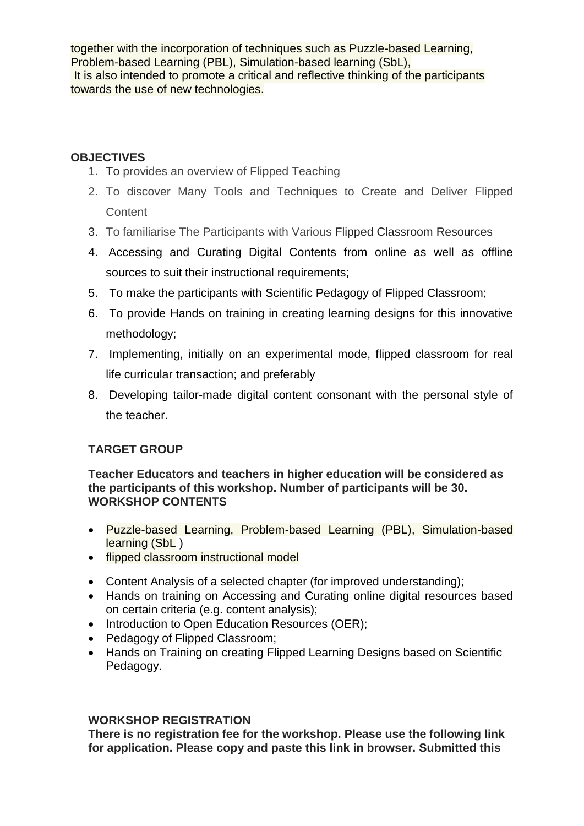together with the incorporation of techniques such as Puzzle-based Learning, Problem-based Learning (PBL), Simulation-based learning (SbL), It is also intended to promote a critical and reflective thinking of the participants towards the use of new technologies.

## **OBJECTIVES**

- 1. To provides an overview of Flipped Teaching
- 2. To discover Many Tools and Techniques to Create and Deliver Flipped **Content**
- 3. To familiarise The Participants with Various Flipped Classroom Resources
- 4. Accessing and Curating Digital Contents from online as well as offline sources to suit their instructional requirements;
- 5. To make the participants with Scientific Pedagogy of Flipped Classroom;
- 6. To provide Hands on training in creating learning designs for this innovative methodology;
- 7. Implementing, initially on an experimental mode, flipped classroom for real life curricular transaction; and preferably
- 8. Developing tailor-made digital content consonant with the personal style of the teacher.

# **TARGET GROUP**

**Teacher Educators and teachers in higher education will be considered as the participants of this workshop. Number of participants will be 30. WORKSHOP CONTENTS**

- Puzzle-based Learning, Problem-based Learning (PBL), Simulation-based learning (SbL)
- flipped classroom instructional model
- Content Analysis of a selected chapter (for improved understanding);
- Hands on training on Accessing and Curating online digital resources based on certain criteria (e.g. content analysis);
- Introduction to Open Education Resources (OER);
- Pedagogy of Flipped Classroom;
- Hands on Training on creating Flipped Learning Designs based on Scientific Pedagogy.

### **WORKSHOP REGISTRATION**

**There is no registration fee for the workshop. Please use the following link for application. Please copy and paste this link in browser. Submitted this**